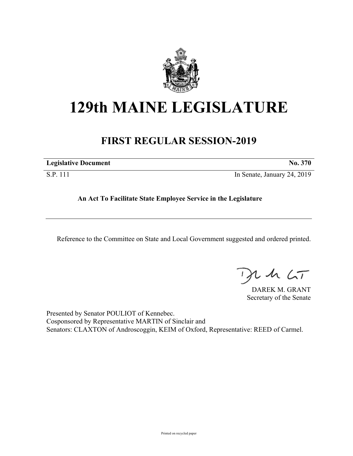

# **129th MAINE LEGISLATURE**

## **FIRST REGULAR SESSION-2019**

| <b>Legislative Document</b> | No. 370                     |
|-----------------------------|-----------------------------|
| S.P. 111                    | In Senate, January 24, 2019 |

**An Act To Facilitate State Employee Service in the Legislature**

Reference to the Committee on State and Local Government suggested and ordered printed.

 $th$   $LT$ 

DAREK M. GRANT Secretary of the Senate

Presented by Senator POULIOT of Kennebec. Cosponsored by Representative MARTIN of Sinclair and Senators: CLAXTON of Androscoggin, KEIM of Oxford, Representative: REED of Carmel.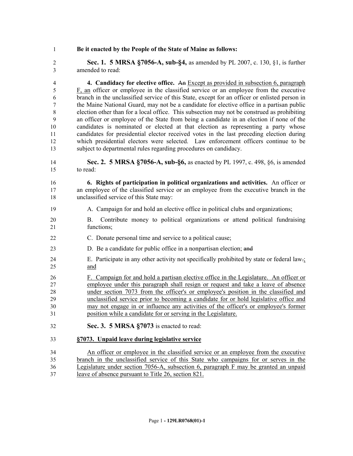### **Be it enacted by the People of the State of Maine as follows:**

 **Sec. 1. 5 MRSA §7056-A, sub-§4,** as amended by PL 2007, c. 130, §1, is further amended to read:

 **4. Candidacy for elective office.** An Except as provided in subsection 6, paragraph F, an officer or employee in the classified service or an employee from the executive branch in the unclassified service of this State, except for an officer or enlisted person in the Maine National Guard, may not be a candidate for elective office in a partisan public election other than for a local office. This subsection may not be construed as prohibiting an officer or employee of the State from being a candidate in an election if none of the candidates is nominated or elected at that election as representing a party whose candidates for presidential elector received votes in the last preceding election during which presidential electors were selected. Law enforcement officers continue to be subject to departmental rules regarding procedures on candidacy.

 **Sec. 2. 5 MRSA §7056-A, sub-§6,** as enacted by PL 1997, c. 498, §6, is amended to read:

 **6. Rights of participation in political organizations and activities.** An officer or an employee of the classified service or an employee from the executive branch in the unclassified service of this State may:

- A. Campaign for and hold an elective office in political clubs and organizations;
- B. Contribute money to political organizations or attend political fundraising functions;
- C. Donate personal time and service to a political cause;
- D. Be a candidate for public office in a nonpartisan election; and
- E. Participate in any other activity not specifically prohibited by state or federal law.; and

 F. Campaign for and hold a partisan elective office in the Legislature. An officer or employee under this paragraph shall resign or request and take a leave of absence under section 7073 from the officer's or employee's position in the classified and unclassified service prior to becoming a candidate for or hold legislative office and may not engage in or influence any activities of the officer's or employee's former position while a candidate for or serving in the Legislature.

**Sec. 3. 5 MRSA §7073** is enacted to read:

### **§7073. Unpaid leave during legislative service**

 An officer or employee in the classified service or an employee from the executive branch in the unclassified service of this State who campaigns for or serves in the Legislature under section 7056-A, subsection 6, paragraph F may be granted an unpaid leave of absence pursuant to Title 26, section 821.